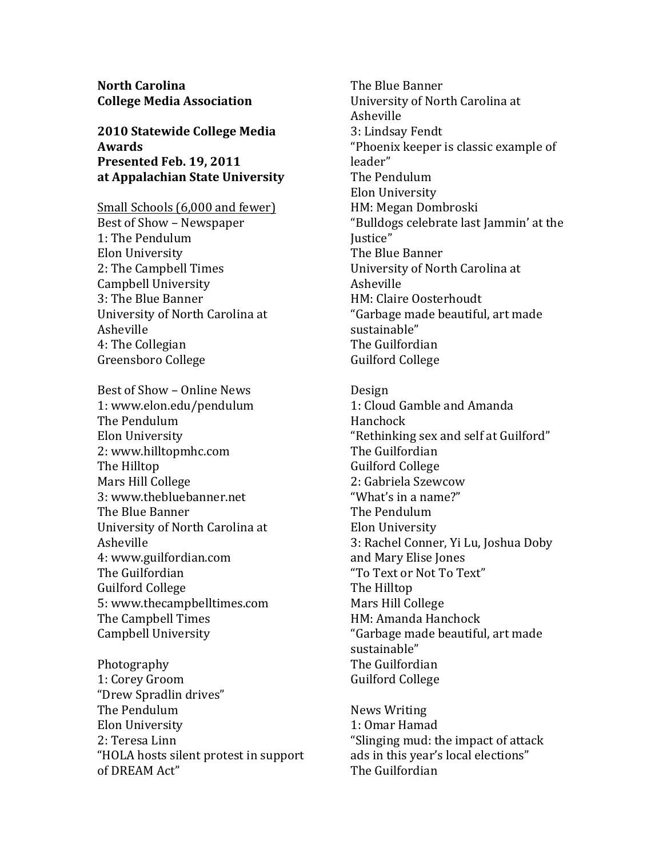**North Carolina College Media Association** 

2010 Statewide College Media **Awards** Presented Feb. 19, 2011 at Appalachian State University

Small Schools (6,000 and fewer) Best of Show - Newspaper 1: The Pendulum Elon University 2: The Campbell Times Campbell University 3: The Blue Banner University of North Carolina at Asheville 4: The Collegian Greensboro College

Best of Show - Online News 1: www.elon.edu/pendulum The Pendulum Elon University 2: www.hilltopmhc.com The Hilltop Mars Hill College 3: www.thebluebanner.net The Blue Banner University of North Carolina at Asheville 4: www.guilfordian.com The Guilfordian **Guilford College** 5: www.thecampbelltimes.com The Campbell Times Campbell University

Photography 1: Corey Groom "Drew Spradlin drives" The Pendulum Elon University 2: Teresa Linn "HOLA hosts silent protest in support of DREAM Act"

The Blue Banner University of North Carolina at Asheville 3: Lindsay Fendt "Phoenix keeper is classic example of leader" The Pendulum Elon University HM: Megan Dombroski "Bulldogs celebrate last Jammin' at the Justice" The Blue Banner University of North Carolina at Asheville HM: Claire Oosterhoudt "Garbage made beautiful, art made sustainable" The Guilfordian **Guilford College** 

Design 1: Cloud Gamble and Amanda Hanchock "Rethinking sex and self at Guilford" The Guilfordian **Guilford College** 2: Gabriela Szewcow "What's in a name?" The Pendulum Elon University 3: Rachel Conner, Yi Lu, Joshua Doby and Mary Elise Jones "To Text or Not To Text" The Hilltop Mars Hill College HM: Amanda Hanchock "Garbage made beautiful, art made sustainable" The Guilfordian **Guilford College** 

**News Writing** 1: Omar Hamad "Slinging mud: the impact of attack ads in this year's local elections" The Guilfordian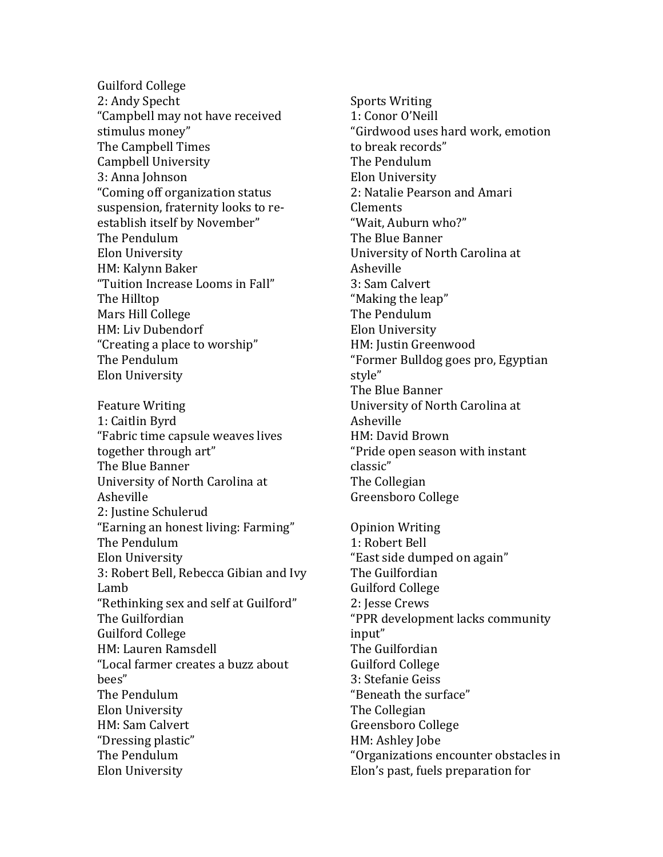**Guilford College** 2: Andy Specht "Campbell may not have received stimulus money" The Campbell Times **Campbell University** 3: Anna Johnson "Coming off organization status suspension, fraternity looks to reestablish itself by November" The Pendulum Elon University HM: Kalynn Baker "Tuition Increase Looms in Fall" The Hilltop Mars Hill College HM: Liv Dubendorf "Creating a place to worship" The Pendulum Elon University

**Feature Writing** 1: Caitlin Byrd "Fabric time capsule weaves lives together through art" The Blue Banner University of North Carolina at Asheville 2: Justine Schulerud "Earning an honest living: Farming" The Pendulum Elon University 3: Robert Bell, Rebecca Gibian and Ivy Lamb "Rethinking sex and self at Guilford" The Guilfordian **Guilford College** HM: Lauren Ramsdell "Local farmer creates a buzz about bees" The Pendulum Elon University HM: Sam Calvert "Dressing plastic" The Pendulum Elon University

**Sports Writing** 1: Conor O'Neill "Girdwood uses hard work, emotion to break records" The Pendulum Elon University 2: Natalie Pearson and Amari Clements "Wait. Auburn who?" The Blue Banner University of North Carolina at Asheville 3: Sam Calvert "Making the leap" The Pendulum Elon University HM: Justin Greenwood "Former Bulldog goes pro, Egyptian style" The Blue Banner University of North Carolina at Asheville HM: David Brown "Pride open season with instant classic" The Collegian Greensboro College **Opinion Writing** 

1: Robert Bell "East side dumped on again" The Guilfordian **Guilford College** 2: Jesse Crews "PPR development lacks community input" The Guilfordian **Guilford College** 3: Stefanie Geiss "Beneath the surface" The Collegian Greensboro College HM: Ashley Jobe "Organizations encounter obstacles in Elon's past, fuels preparation for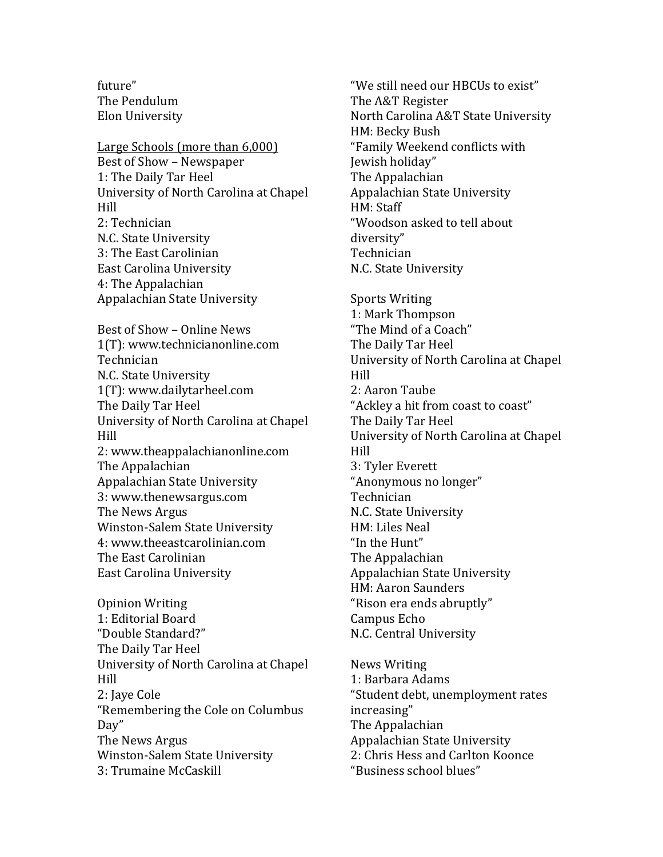future" The Pendulum Elon University

Large Schools (more than 6,000) Best of Show – Newspaper 1: The Daily Tar Heel University of North Carolina at Chapel Hill 2: Technician N.C. State University 3: The East Carolinian East Carolina University 4: The Appalachian Appalachian State University Best of Show – Online News 1(T): www.technicianonline.com Technician N.C. State University 1(T): www.dailytarheel.com The Daily Tar Heel University of North Carolina at Chapel Hill 2: www.theappalachianonline.com The Appalachian Appalachian State University 3: www.thenewsargus.com The News Argus Winston-Salem State University 4: www.theeastcarolinian.com The East Carolinian East Carolina University

Opinion Writing 1: Editorial Board "Double!Standard?" The Daily Tar Heel University of North Carolina at Chapel Hill 2: Jaye Cole "Remembering the Cole on Columbus" Day" The News Argus Winston-Salem State University 3: Trumaine McCaskill

"We still need our HBCUs to exist" The A&T Register North Carolina A&T State University HM: Becky Bush "Family Weekend conflicts with Jewish holiday" The Appalachian Appalachian State University HM: Staff "Woodson asked to tell about diversity" Technician N.C. State University Sports Writing 1: Mark Thompson "The Mind of a Coach" The Daily Tar Heel

University of North Carolina at Chapel

University of North Carolina at Chapel

"Ackley a hit from coast to coast"

Hill

Hill

2: Aaron Taube

3: Tyler Everett

Technician

HM: Liles Neal "In the Hunt" The Appalachian

Campus Echo

News!Writing 1: Barbara Adams

increasing"

The Appalachian

"Anonymous no longer"

Appalachian State University

"Student debt, unemployment rates

Appalachian State University 2: Chris Hess and Carlton Koonce

"Business school blues"

N.C. State University

HM: Aaron Saunders "Rison era ends abruptly"

N.C. Central University

The Daily Tar Heel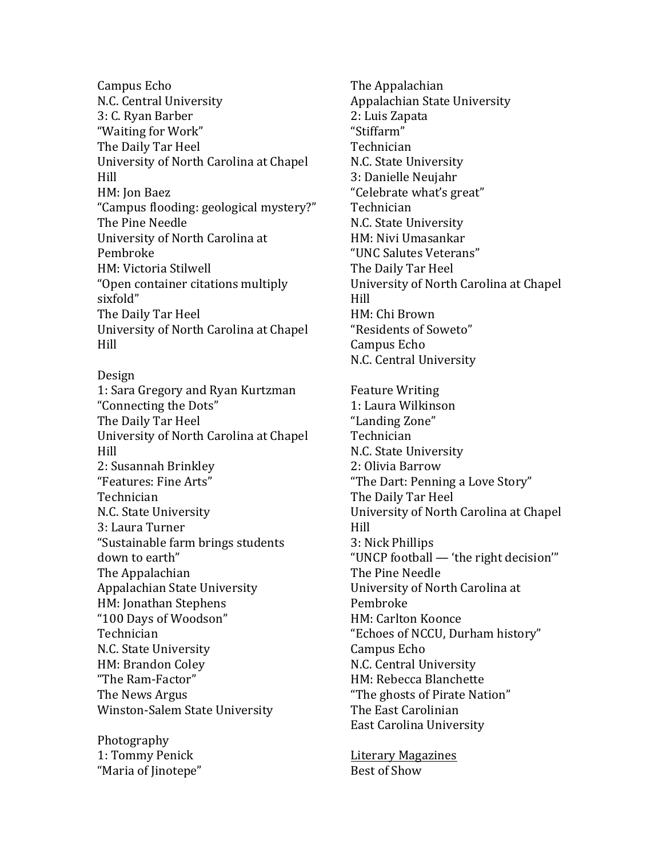Campus Echo N.C. Central University 3: C. Ryan Barber "Waiting for Work" The Daily Tar Heel University of North Carolina at Chapel Hill HM: Ion Baez "Campus flooding: geological mystery?" The Pine Needle University of North Carolina at Pembroke HM: Victoria Stilwell "Open container citations multiply sixfold" The Daily Tar Heel University of North Carolina at Chapel Hill

Design 1: Sara Gregory and Ryan Kurtzman "Connecting the Dots" The Daily Tar Heel University of North Carolina at Chapel Hill 2: Susannah Brinkley "Features: Fine Arts" Technician N.C. State University 3: Laura Turner "Sustainable farm brings students down to earth" The Appalachian Appalachian State University HM: Jonathan Stephens "100 Days of Woodson" Technician N.C. State University HM: Brandon Coley "The Ram-Factor" The News Argus Winston-Salem State University

Photography 1: Tommy Penick "Maria of Jinotepe" The Appalachian Appalachian State University 2: Luis Zapata "Stiffarm" Technician N.C. State University 3: Danielle Neujahr "Celebrate what's great" Technician N.C. State University HM: Nivi Umasankar "UNC Salutes Veterans" The Daily Tar Heel University of North Carolina at Chapel Hill HM: Chi Brown "Residents of Soweto" Campus Echo N.C. Central University

Feature Writing 1: Laura Wilkinson "Landing Zone" Technician N.C. State University 2: Olivia Barrow "The Dart: Penning a Love Story" The Daily Tar Heel University of North Carolina at Chapel Hill 3: Nick Phillips "UNCP football — 'the right decision'" The Pine Needle University of North Carolina at Pembroke HM: Carlton Koonce "Echoes of NCCU, Durham history" Campus Echo N.C. Central University HM: Rebecca Blanchette "The ghosts of Pirate Nation" The East Carolinian East Carolina University

Literary!Magazines Best of Show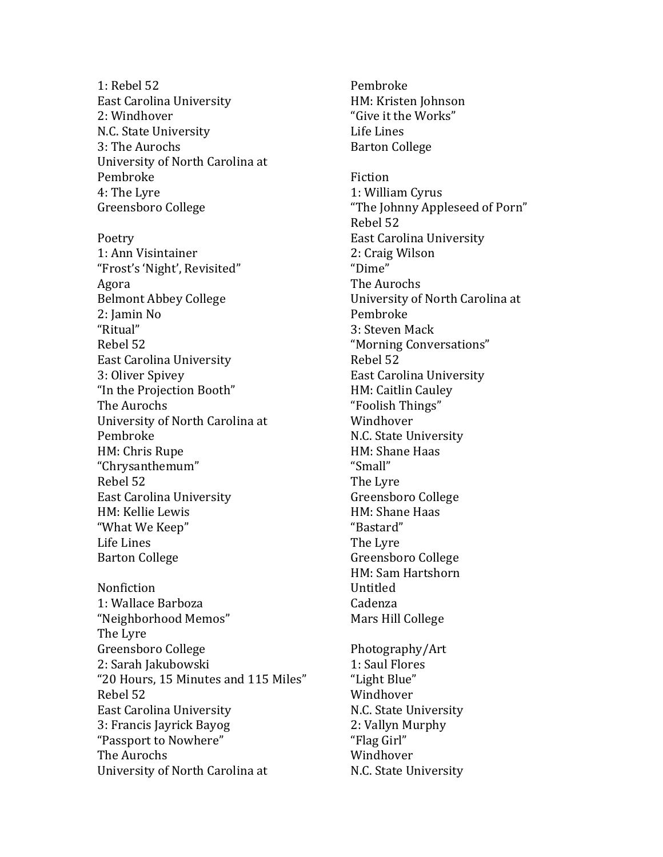1: Rebel 52 **East Carolina University** 2: Windhover N.C. State University 3: The Aurochs University of North Carolina at Pembroke 4: The Lyre Greensboro College Poetry 1: Ann Visintainer "Frost's 'Night', Revisited" Agora **Belmont Abbey College** 2: Iamin No "Ritual" Rebel 52 **East Carolina University** 3: Oliver Spivey "In the Projection Booth" The Aurochs University of North Carolina at Pembroke HM: Chris Rupe "Chrysanthemum" Rebel 52 **East Carolina University** HM: Kellie Lewis "What We Keep" Life Lines **Barton College** 

Nonfiction 1: Wallace Barboza "Neighborhood Memos" The Lyre Greensboro College 2: Sarah Jakubowski "20 Hours, 15 Minutes and 115 Miles" Rebel 52 East Carolina University 3: Francis Jayrick Bayog "Passport to Nowhere" The Aurochs University of North Carolina at

Pembroke HM: Kristen Johnson "Give it the Works" Life Lines **Barton College** 

Fiction 1: William Cyrus "The Johnny Appleseed of Porn" Rebel 52 **East Carolina University** 2: Craig Wilson "Dime" The Aurochs University of North Carolina at Pembroke 3: Steven Mack "Morning Conversations" Rebel 52 **East Carolina University** HM: Caitlin Cauley "Foolish Things" Windhover N.C. State University HM: Shane Haas "Small" The Lyre Greensboro College HM: Shane Haas "Bastard" The Lyre Greensboro College HM: Sam Hartshorn Untitled Cadenza Mars Hill College Photography/Art 1: Saul Flores "Light Blue" Windhover

N.C. State University 2: Vallyn Murphy "Flag Girl" Windhover N.C. State University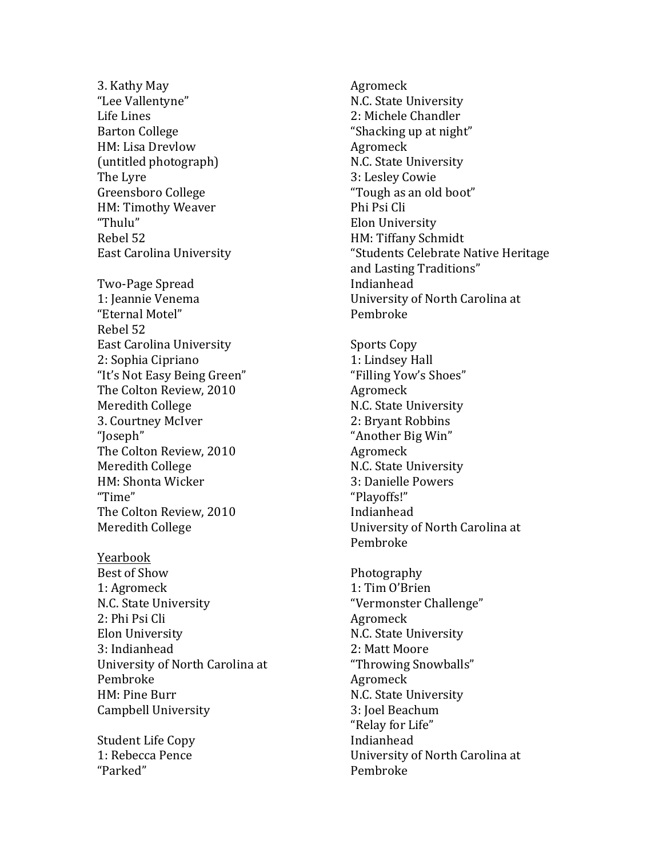3. Kathy May "Lee Vallentyne" Life Lines Barton College HM: Lisa Drevlow (untitled photograph) The Lyre Greensboro College HM: Timothy Weaver "Thulu" Rebel 52 East Carolina University Two-Page Spread 1: Jeannie Venema "Eternal Motel" Rebel 52 East Carolina University 2: Sophia Cipriano "It's Not Easy Being Green" The Colton Review, 2010 Meredith College 3. Courtney McIver "Joseph" The Colton Review, 2010 Meredith College HM: Shonta Wicker "Time" The Colton Review, 2010 Meredith College

Yearbook Best of Show 1: Agromeck N.C. State University 2: Phi Psi Cli Elon University 3: Indianhead University of North Carolina at Pembroke! HM: Pine Burr Campbell University

Student Life Copy 1: Rebecca Pence "Parked"

Agromeck N.C. State University 2: Michele Chandler "Shacking up at night" Agromeck N.C. State University 3: Lesley Cowie "Tough as an old boot" Phi Psi Cli Elon!University HM: Tiffany Schmidt "Students Celebrate Native Heritage and Lasting Traditions" Indianhead University of North Carolina at Pembroke

Sports Copy 1: Lindsey Hall "Filling Yow's Shoes" Agromeck N.C. State University 2: Bryant Robbins "Another Big Win" Agromeck N.C. State University 3: Danielle Powers "Playoffs!" Indianhead University of North Carolina at Pembroke

Photography 1: Tim O'Brien "Vermonster Challenge" Agromeck N.C. State University 2: Matt Moore "Throwing Snowballs" Agromeck N.C. State University 3: Joel Beachum "Relay for Life" Indianhead University of North Carolina at Pembroke!